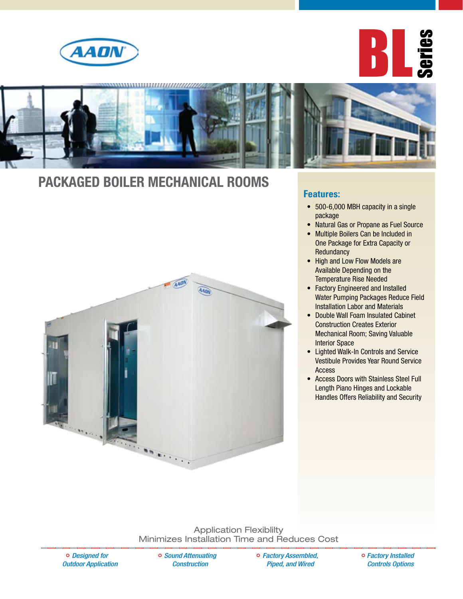





### **Packaged Boiler Mechanical Rooms**



#### **Features:**

- 500-6,000 MBH capacity in a single package
- Natural Gas or Propane as Fuel Source
- Multiple Boilers Can be Included in One Package for Extra Capacity or **Redundancy**
- High and Low Flow Models are Available Depending on the Temperature Rise Needed
- Factory Engineered and Installed Water Pumping Packages Reduce Field Installation Labor and Materials
- Double Wall Foam Insulated Cabinet Construction Creates Exterior Mechanical Room; Saving Valuable Interior Space
- • Lighted Walk-In Controls and Service Vestibule Provides Year Round Service Access
- • Access Doors with Stainless Steel Full Length Piano Hinges and Lockable Handles Offers Reliability and Security

Application Flexiblilty Minimizes Installation Time and Reduces Cost

*Designed for Outdoor Application*  *Sound Attenuating Construction* 

*Factory Assembled, Piped, and Wired*

*Factory Installed Controls Options*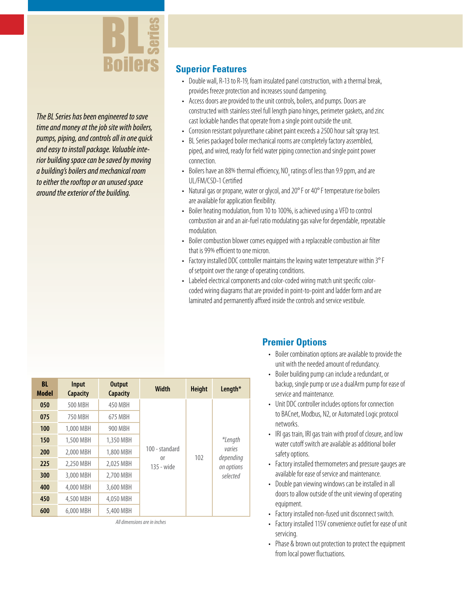

*The BL Series has been engineered to save time and money at the job site with boilers, pumps, piping, and controls all in one quick and easy to install package. Valuable interior building space can be saved by moving a building's boilers and mechanical room to either the rooftop or an unused space around the exterior of the building.*

### **Superior Features**

- Double wall, R-13 to R-19, foam insulated panel construction, with a thermal break, provides freeze protection and increases sound dampening.
- Access doors are provided to the unit controls, boilers, and pumps. Doors are constructed with stainless steel full length piano hinges, perimeter gaskets, and zinc cast lockable handles that operate from a single point outside the unit.
- Corrosion resistant polyurethane cabinet paint exceeds a 2500 hour salt spray test.
- BL Series packaged boiler mechanical rooms are completely factory assembled, piped, and wired, ready for field water piping connection and single point power connection.
- Boilers have an 88% thermal efficiency, NO<sub>x</sub> ratings of less than 9.9 ppm, and are UL/FM/CSD-1Certified
- Natural gas or propane, water or glycol, and 20°F or 40°F temperature rise boilers are available for application flexibility.
- Boiler heating modulation, from 10 to 100%, is achieved using a VFD to control combustion air and an air-fuel ratio modulating gas valve for dependable, repeatable modulation.
- Boiler combustion blower comes equipped with a replaceable combustion air filter that is 99% efficient to one micron.
- Factory installed DDC controller maintains the leaving water temperature within 3°F of setpoint over the range of operating conditions.
- Labeled electrical components and color-coded wiring match unit specific colorcoded wiring diagrams that are provided in point-to-point and ladder form and are laminated and permanently affixed inside the controls and service vestibule.

| <b>BL</b><br><b>Model</b> | Input<br><b>Capacity</b> | <b>Output</b><br><b>Capacity</b> | <b>Width</b>                                   | <b>Height</b> | Length*                                                  |
|---------------------------|--------------------------|----------------------------------|------------------------------------------------|---------------|----------------------------------------------------------|
| 050                       | 500 MBH                  | 450 MBH                          | 100 - standard<br><sub>0</sub> r<br>135 - wide | 102           | *Length<br>varies<br>depending<br>on options<br>selected |
| 075                       | 750 MBH                  | 675 MBH                          |                                                |               |                                                          |
| 100                       | 1,000 MBH                | 900 MBH                          |                                                |               |                                                          |
| 150                       | 1,500 MBH                | 1,350 MBH                        |                                                |               |                                                          |
| 200                       | 2,000 MBH                | 1,800 MBH                        |                                                |               |                                                          |
| 225                       | 2.250 MBH                | 2.025 MBH                        |                                                |               |                                                          |
| 300                       | 3,000 MBH                | 2.700 MBH                        |                                                |               |                                                          |
| 400                       | 4,000 MBH                | 3.600 MBH                        |                                                |               |                                                          |
| 450                       | 4,500 MBH                | 4.050 MBH                        |                                                |               |                                                          |
| 600                       | 6,000 MBH                | 5,400 MBH                        |                                                |               |                                                          |

**Premier Options**

- Boiler combination options are available to provide the unit with the needed amount of redundancy.
- Boiler building pump can include a redundant, or backup, single pump or use a dualArm pump for ease of service and maintenance.
- Unit DDC controller includes options for connection to BACnet, Modbus, N2, or Automated Logic protocol networks.
- IRI gas train, IRI gas train with proof of closure, and low water cutoff switch are available as additional boiler safety options.
- Factory installed thermometers and pressure gauges are available for ease of service and maintenance.
- Double pan viewing windows can be installed in all doors to allow outside of the unit viewing of operating equipment.
- Factory installed non-fused unit disconnect switch.
- Factory installed 115V convenience outlet for ease of unit servicing.
- Phase & brown out protection to protect the equipment from local power fluctuations.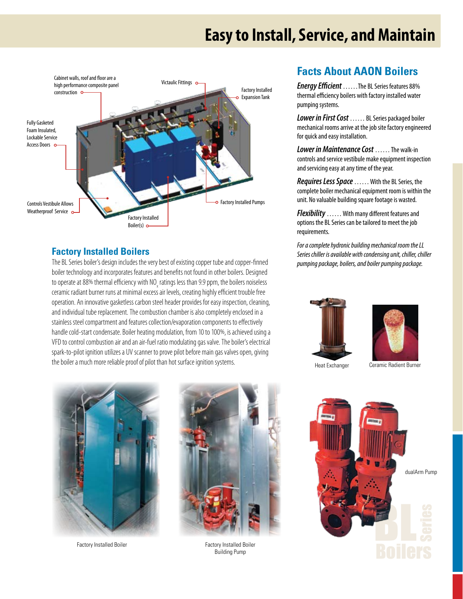## **Easy to Install, Service, and Maintain**



### **Factory Installed Boilers**

The BL Series boiler's design includes the very best of existing copper tube and copper-finned boiler technology and incorporates features and benefits not found in other boilers. Designed to operate at 88% thermal efficiency with NO<sub>x</sub> ratings less than 9.9 ppm, the boilers noiseless ceramic radiant burner runs at minimal excess air levels, creating highly efficient trouble free operation. An innovative gasketless carbon steel header provides for easy inspection, cleaning, and individual tube replacement. The combustion chamber is also completely enclosed in a stainless steel compartment and features collection/evaporation components to effectively handle cold-start condensate. Boiler heating modulation, from 10 to 100%, is achieved using a VFD to control combustion air and an air-fuel ratio modulating gas valve. The boiler's electrical spark-to-pilot ignition utilizes a UV scanner to prove pilot before main gas valves open, giving the boiler a much more reliable proof of pilot than hot surface ignition systems.



Factory Installed Boiler **Factory Installed Boiler** Factory Installed Boiler



Building Pump

### **Facts About AAON Boilers**

*Energy Efficient*……The BL Series features 88% thermal efficiency boilers with factory installed water pumping systems.

*Lower in First Cost* …… BL Series packaged boiler mechanical rooms arrive at the job site factory engineered for quick and easy installation.

*Lower in Maintenance Cost* …… The walk-in controls and service vestibule make equipment inspection and servicing easy at any time of the year.

*Requires Less Space* …… With the BL Series, the complete boiler mechanical equipment room is within the unit. No valuable building square footage is wasted.

*Flexibility* …… With many different features and options the BL Series can be tailored to meet the job requirements.

*For a complete hydronic building mechanical room the LL Series chiller is available with condensing unit, chiller, chiller pumping package, boilers, and boiler pumping package.*





Heat Exchanger Ceramic Radient Burner